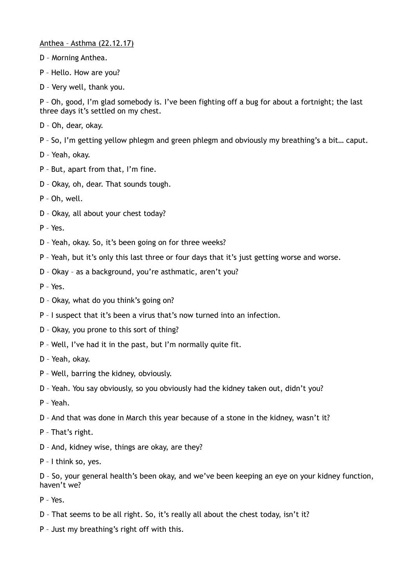Anthea – Asthma (22.12.17)

- D Morning Anthea.
- P Hello. How are you?
- D Very well, thank you.

P – Oh, good, I'm glad somebody is. I've been fighting off a bug for about a fortnight; the last three days it's settled on my chest.

- D Oh, dear, okay.
- P So, I'm getting yellow phlegm and green phlegm and obviously my breathing's a bit… caput.
- D Yeah, okay.
- P But, apart from that, I'm fine.
- D Okay, oh, dear. That sounds tough.
- P Oh, well.
- D Okay, all about your chest today?
- P Yes.
- D Yeah, okay. So, it's been going on for three weeks?
- P Yeah, but it's only this last three or four days that it's just getting worse and worse.
- D Okay as a background, you're asthmatic, aren't you?
- $P Y_{PS}$
- D Okay, what do you think's going on?
- P I suspect that it's been a virus that's now turned into an infection.
- D Okay, you prone to this sort of thing?
- P Well, I've had it in the past, but I'm normally quite fit.
- D Yeah, okay.
- P Well, barring the kidney, obviously.
- D Yeah. You say obviously, so you obviously had the kidney taken out, didn't you?
- P Yeah.
- D And that was done in March this year because of a stone in the kidney, wasn't it?
- P That's right.
- D And, kidney wise, things are okay, are they?
- P I think so, yes.

D – So, your general health's been okay, and we've been keeping an eye on your kidney function, haven't we?

- P Yes.
- D That seems to be all right. So, it's really all about the chest today, isn't it?
- P Just my breathing's right off with this.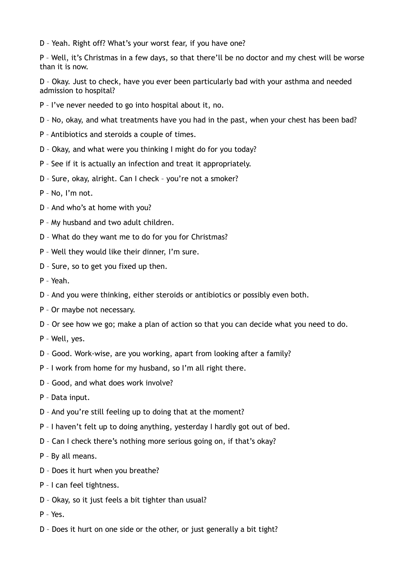D – Yeah. Right off? What's your worst fear, if you have one?

P – Well, it's Christmas in a few days, so that there'll be no doctor and my chest will be worse than it is now.

D – Okay. Just to check, have you ever been particularly bad with your asthma and needed admission to hospital?

- P I've never needed to go into hospital about it, no.
- D No, okay, and what treatments have you had in the past, when your chest has been bad?
- P Antibiotics and steroids a couple of times.
- D Okay, and what were you thinking I might do for you today?
- P See if it is actually an infection and treat it appropriately.
- D Sure, okay, alright. Can I check you're not a smoker?
- P No, I'm not.
- D And who's at home with you?
- P My husband and two adult children.
- D What do they want me to do for you for Christmas?
- P Well they would like their dinner, I'm sure.
- D Sure, so to get you fixed up then.
- P Yeah.
- D And you were thinking, either steroids or antibiotics or possibly even both.
- P Or maybe not necessary.
- D Or see how we go; make a plan of action so that you can decide what you need to do.
- P Well, yes.
- D Good. Work-wise, are you working, apart from looking after a family?
- P I work from home for my husband, so I'm all right there.
- D Good, and what does work involve?
- P Data input.
- D And you're still feeling up to doing that at the moment?
- P I haven't felt up to doing anything, yesterday I hardly got out of bed.
- D Can I check there's nothing more serious going on, if that's okay?
- P By all means.
- D Does it hurt when you breathe?
- P I can feel tightness.
- D Okay, so it just feels a bit tighter than usual?
- P Yes.
- D Does it hurt on one side or the other, or just generally a bit tight?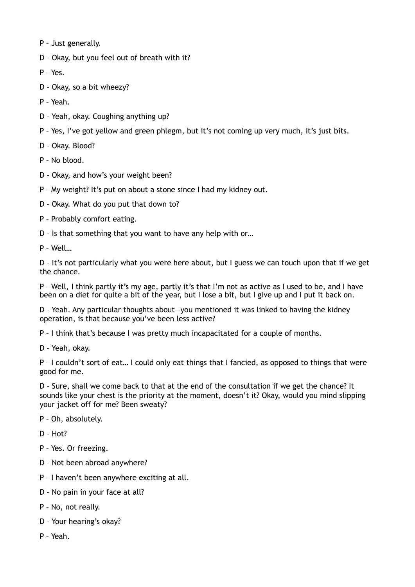- P Just generally.
- D Okay, but you feel out of breath with it?
- P Yes.
- D Okay, so a bit wheezy?
- P Yeah.
- D Yeah, okay. Coughing anything up?
- P Yes, I've got yellow and green phlegm, but it's not coming up very much, it's just bits.
- D Okay. Blood?
- P No blood.
- D Okay, and how's your weight been?
- P My weight? It's put on about a stone since I had my kidney out.
- D Okay. What do you put that down to?
- P Probably comfort eating.
- D Is that something that you want to have any help with or…
- P Well…

D – It's not particularly what you were here about, but I guess we can touch upon that if we get the chance.

P – Well, I think partly it's my age, partly it's that I'm not as active as I used to be, and I have been on a diet for quite a bit of the year, but I lose a bit, but I give up and I put it back on.

D – Yeah. Any particular thoughts about—you mentioned it was linked to having the kidney operation, is that because you've been less active?

P – I think that's because I was pretty much incapacitated for a couple of months.

D – Yeah, okay.

P – I couldn't sort of eat… I could only eat things that I fancied, as opposed to things that were good for me.

D – Sure, shall we come back to that at the end of the consultation if we get the chance? It sounds like your chest is the priority at the moment, doesn't it? Okay, would you mind slipping your jacket off for me? Been sweaty?

- P Oh, absolutely.
- D Hot?
- P Yes. Or freezing.
- D Not been abroad anywhere?
- P I haven't been anywhere exciting at all.
- D No pain in your face at all?
- P No, not really.
- D Your hearing's okay?
- P Yeah.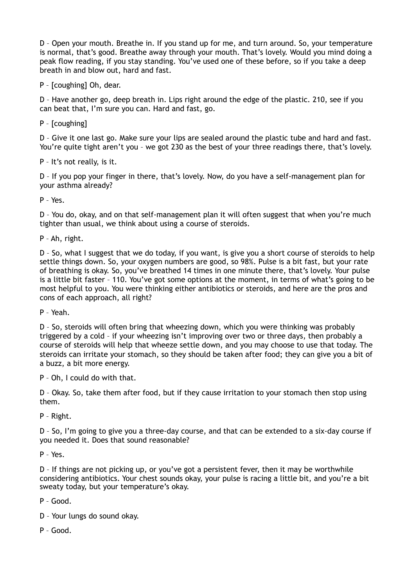D – Open your mouth. Breathe in. If you stand up for me, and turn around. So, your temperature is normal, that's good. Breathe away through your mouth. That's lovely. Would you mind doing a peak flow reading, if you stay standing. You've used one of these before, so if you take a deep breath in and blow out, hard and fast.

P – [coughing] Oh, dear.

D – Have another go, deep breath in. Lips right around the edge of the plastic. 210, see if you can beat that, I'm sure you can. Hard and fast, go.

P – [coughing]

D – Give it one last go. Make sure your lips are sealed around the plastic tube and hard and fast. You're quite tight aren't you – we got 230 as the best of your three readings there, that's lovely.

P – It's not really, is it.

D – If you pop your finger in there, that's lovely. Now, do you have a self-management plan for your asthma already?

P – Yes.

D – You do, okay, and on that self-management plan it will often suggest that when you're much tighter than usual, we think about using a course of steroids.

P – Ah, right.

D – So, what I suggest that we do today, if you want, is give you a short course of steroids to help settle things down. So, your oxygen numbers are good, so 98%. Pulse is a bit fast, but your rate of breathing is okay. So, you've breathed 14 times in one minute there, that's lovely. Your pulse is a little bit faster – 110. You've got some options at the moment, in terms of what's going to be most helpful to you. You were thinking either antibiotics or steroids, and here are the pros and cons of each approach, all right?

P – Yeah.

D – So, steroids will often bring that wheezing down, which you were thinking was probably triggered by a cold – if your wheezing isn't improving over two or three days, then probably a course of steroids will help that wheeze settle down, and you may choose to use that today. The steroids can irritate your stomach, so they should be taken after food; they can give you a bit of a buzz, a bit more energy.

P – Oh, I could do with that.

D – Okay. So, take them after food, but if they cause irritation to your stomach then stop using them.

P – Right.

D – So, I'm going to give you a three-day course, and that can be extended to a six-day course if you needed it. Does that sound reasonable?

P – Yes.

D – If things are not picking up, or you've got a persistent fever, then it may be worthwhile considering antibiotics. Your chest sounds okay, your pulse is racing a little bit, and you're a bit sweaty today, but your temperature's okay.

P – Good.

- D Your lungs do sound okay.
- P Good.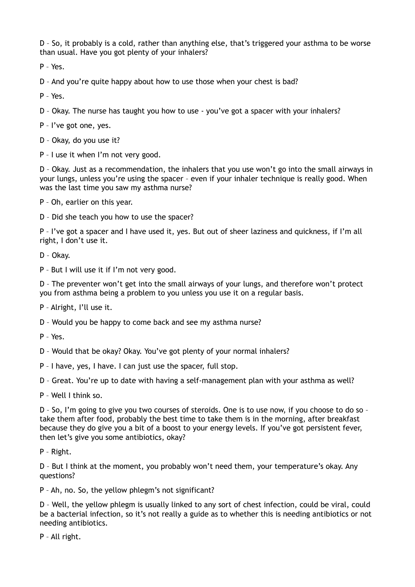D – So, it probably is a cold, rather than anything else, that's triggered your asthma to be worse than usual. Have you got plenty of your inhalers?

P – Yes.

D – And you're quite happy about how to use those when your chest is bad?

P – Yes.

D – Okay. The nurse has taught you how to use - you've got a spacer with your inhalers?

P – I've got one, yes.

D – Okay, do you use it?

P – I use it when I'm not very good.

D – Okay. Just as a recommendation, the inhalers that you use won't go into the small airways in your lungs, unless you're using the spacer – even if your inhaler technique is really good. When was the last time you saw my asthma nurse?

P – Oh, earlier on this year.

D – Did she teach you how to use the spacer?

P – I've got a spacer and I have used it, yes. But out of sheer laziness and quickness, if I'm all right, I don't use it.

D – Okay.

P – But I will use it if I'm not very good.

D – The preventer won't get into the small airways of your lungs, and therefore won't protect you from asthma being a problem to you unless you use it on a regular basis.

P – Alright, I'll use it.

D – Would you be happy to come back and see my asthma nurse?

P – Yes.

D – Would that be okay? Okay. You've got plenty of your normal inhalers?

P – I have, yes, I have. I can just use the spacer, full stop.

D – Great. You're up to date with having a self-management plan with your asthma as well?

P – Well I think so.

D – So, I'm going to give you two courses of steroids. One is to use now, if you choose to do so – take them after food, probably the best time to take them is in the morning, after breakfast because they do give you a bit of a boost to your energy levels. If you've got persistent fever, then let's give you some antibiotics, okay?

P – Right.

D – But I think at the moment, you probably won't need them, your temperature's okay. Any questions?

P – Ah, no. So, the yellow phlegm's not significant?

D – Well, the yellow phlegm is usually linked to any sort of chest infection, could be viral, could be a bacterial infection, so it's not really a guide as to whether this is needing antibiotics or not needing antibiotics.

P – All right.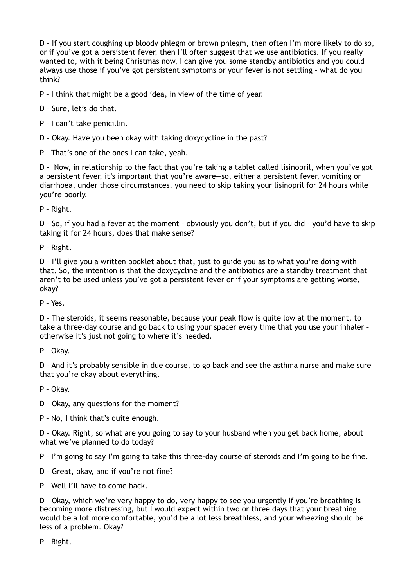D – If you start coughing up bloody phlegm or brown phlegm, then often I'm more likely to do so, or if you've got a persistent fever, then I'll often suggest that we use antibiotics. If you really wanted to, with it being Christmas now, I can give you some standby antibiotics and you could always use those if you've got persistent symptoms or your fever is not settling – what do you think?

P – I think that might be a good idea, in view of the time of year.

D – Sure, let's do that.

P – I can't take penicillin.

D – Okay. Have you been okay with taking doxycycline in the past?

P – That's one of the ones I can take, yeah.

D - Now, in relationship to the fact that you're taking a tablet called lisinopril, when you've got a persistent fever, it's important that you're aware—so, either a persistent fever, vomiting or diarrhoea, under those circumstances, you need to skip taking your lisinopril for 24 hours while you're poorly.

P – Right.

D – So, if you had a fever at the moment – obviously you don't, but if you did – you'd have to skip taking it for 24 hours, does that make sense?

P – Right.

D – I'll give you a written booklet about that, just to guide you as to what you're doing with that. So, the intention is that the doxycycline and the antibiotics are a standby treatment that aren't to be used unless you've got a persistent fever or if your symptoms are getting worse, okay?

P – Yes.

D – The steroids, it seems reasonable, because your peak flow is quite low at the moment, to take a three-day course and go back to using your spacer every time that you use your inhaler – otherwise it's just not going to where it's needed.

P – Okay.

D – And it's probably sensible in due course, to go back and see the asthma nurse and make sure that you're okay about everything.

P – Okay.

D – Okay, any questions for the moment?

P – No, I think that's quite enough.

D – Okay. Right, so what are you going to say to your husband when you get back home, about what we've planned to do today?

P – I'm going to say I'm going to take this three-day course of steroids and I'm going to be fine.

D – Great, okay, and if you're not fine?

P – Well I'll have to come back.

D – Okay, which we're very happy to do, very happy to see you urgently if you're breathing is becoming more distressing, but I would expect within two or three days that your breathing would be a lot more comfortable, you'd be a lot less breathless, and your wheezing should be less of a problem. Okay?

P – Right.